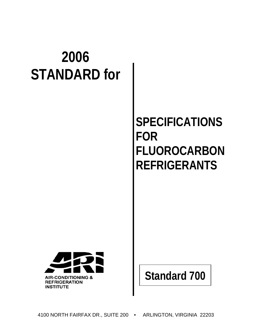# **2006 STANDARD for**

# **SPECIFICATIONS FOR FLUOROCARBON REFRIGERANTS**



**Standard 700**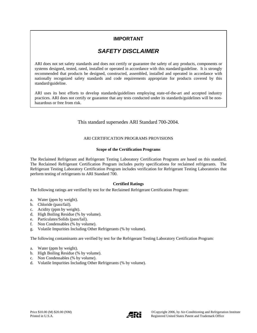# **IMPORTANT**

# *SAFETY DISCLAIMER*

ARI does not set safety standards and does not certify or guarantee the safety of any products, components or systems designed, tested, rated, installed or operated in accordance with this standard/guideline. It is strongly recommended that products be designed, constructed, assembled, installed and operated in accordance with nationally recognized safety standards and code requirements appropriate for products covered by this standard/guideline.

ARI uses its best efforts to develop standards/guidelines employing state-of-the-art and accepted industry practices. ARI does not certify or guarantee that any tests conducted under its standards/guidelines will be nonhazardous or free from risk.

#### This standard supersedes ARI Standard 700-2004.

#### ARI CERTIFICATION PROGRAMS PROVISIONS

#### **Scope of the Certification Programs**

The Reclaimed Refrigerant and Refrigerant Testing Laboratory Certification Programs are based on this standard. The Reclaimed Refrigerant Certification Program includes purity specifications for reclaimed refrigerants. The Refrigerant Testing Laboratory Certification Program includes verification for Refrigerant Testing Laboratories that perform testing of refrigerants to ARI Standard 700.

#### **Certified Ratings**

The following ratings are verified by test for the Reclaimed Refrigerant Certification Program:

- a. Water (ppm by weight).
- b. Chloride (pass/fail).
- c. Acidity (ppm by weight).
- d. High Boiling Residue (% by volume).
- e. Particulates/Solids (pass/fail).
- f. Non Condensables (% by volume).
- g. Volatile Impurities Including Other Refrigerants (% by volume).

The following contaminants are verified by test for the Refrigerant Testing Laboratory Certification Program:

- a. Water (ppm by weight).
- b. High Boiling Residue (% by volume).
- c. Non Condensables (% by volume).
- d. Volatile Impurities Including Other Refrigerants (% by volume).

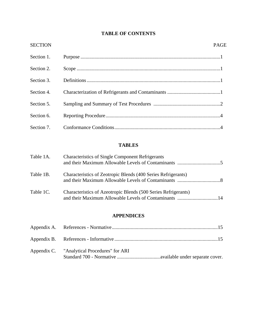# **TABLE OF CONTENTS**

| <b>SECTION</b> | PAGE                                                           |
|----------------|----------------------------------------------------------------|
| Section 1.     |                                                                |
| Section 2.     |                                                                |
| Section 3.     |                                                                |
| Section 4.     |                                                                |
| Section 5.     |                                                                |
| Section 6.     |                                                                |
| Section 7.     |                                                                |
|                | <b>TABLES</b>                                                  |
| Table 1A.      | <b>Characteristics of Single Component Refrigerants</b>        |
| Table 1B.      | Characteristics of Zeotropic Blends (400 Series Refrigerants)  |
| Table 1C.      | Characteristics of Azeotropic Blends (500 Series Refrigerants) |

## **APPENDICES**

and their Maximum Allowable Levels of Contaminants .................................14

| Appendix C. "Analytical Procedures" for ARI |  |
|---------------------------------------------|--|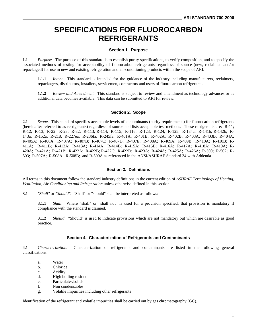# **SPECIFICATIONS FOR FLUOROCARBON REFRIGERANTS**

#### **Section 1. Purpose**

**1.1** *Purpose.* The purpose of this standard is to establish purity specifications, to verify composition, and to specify the associated methods of testing for acceptability of fluorocarbon refrigerants regardless of source (new, reclaimed and/or repackaged) for use in new and existing refrigeration and air-conditioning products within the scope of ARI.

**1.1.1** *Intent.* This standard is intended for the guidance of the industry including manufacturers, reclaimers, repackagers, distributors, installers, servicemen, contractors and users of fluorocarbon refrigerants.

**1.1.2** *Review and Amendment.* This standard is subject to review and amendment as technology advances or as additional data becomes available. This data can be submitted to ARI for review.

#### **Section 2. Scope**

**2.1** *Scope.* This standard specifies acceptable levels of contaminants (purity requirements) for fluorocarbon refrigerants (hereinafter referred to as refrigerants) regardless of source and lists acceptable test methods. These refrigerants are: R-11; R-12; R-13; R-22; R-23; R-32; R-113; R-114; R-115; R-116; R-123; R-124; R-125; R-134a; R-141b; R-142b; R-143a; R-152a; R-218; R-227ea; R-236fa; R-245fa; R-401A; R-401B; R-402A; R-402B; R-403A; R-403B; R-404A; R-405A; R-406A; R-407A; R-407B; R-407C; R-407D; R-407E; R-408A; R-409A; R-409B; R-410A; R-410B; R-411A; R-411B; R-412A; R-413A; R-414A; R-414B; R-415A; R-415B; R-416A; R-417A; R-418A; R-419A; R-420A; R-421A; R-421B; R-422A; R-422B; R-422C; R-422D; R-423A; R-424A; R-425A; R-426A; R-500; R-502; R-503; R-507A; R-508A; R-508B; and R-509A as referenced in the ANSI/ASHRAE Standard 34 with Addenda.

#### **Section 3. Definitions**

All terms in this document follow the standard industry definitions in the current edition of *ASHRAE Terminology of Heating, Ventilation, Air Conditioning and Refrigeration* unless otherwise defined in this section.

**3.1** *"Shall"* or "*Should".* "Shall" or "should" shall be interpreted as follows:

**3.1.1** *Shall*. Where "shall" or "shall not" is used for a provision specified, that provision is mandatory if compliance with the standard is claimed.

**3.1.2** *Should*. "Should" is used to indicate provisions which are not mandatory but which are desirable as good practice.

#### **Section 4. Characterization of Refrigerants and Contaminants**

**4.1** *Characterization.* Characterization of refrigerants and contaminants are listed in the following general classifications:

- a. Water
- b. Chloride
- c. Acidity
- d. High boiling residue
- e. Particulates/solids
- f. Non condensables
- g. Volatile impurities including other refrigerants

Identification of the refrigerant and volatile impurities shall be carried out by gas chromatography (GC).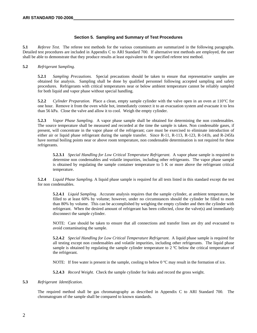#### **Section 5. Sampling and Summary of Test Procedures**

**5.1** *Referee Test.* The referee test methods for the various contaminants are summarized in the following paragraphs. Detailed test procedures are included in Appendix C to ARI Standard 700. If alternative test methods are employed, the user shall be able to demonstrate that they produce results at least equivalent to the specified referee test method.

#### **5.2** *Refrigerant Sampling.*

**5.2.1** *Sampling Precautions.* Special precautions should be taken to ensure that representative samples are obtained for analysis. Sampling shall be done by qualified personnel following accepted sampling and safety procedures. Refrigerants with critical temperatures near or below ambient temperature cannot be reliably sampled for both liquid and vapor phase without special handling.

**5.2.2** *Cylinder Preparation.* Place a clean, empty sample cylinder with the valve open in an oven at 110°C for one hour. Remove it from the oven while hot, immediately connect it to an evacuation system and evacuate it to less than 56 kPa. Close the valve and allow it to cool. Weigh the empty cylinder.

**5.2.3** *Vapor Phase Sampling.* A vapor phase sample shall be obtained for determining the non condensables. The source temperature shall be measured and recorded at the time the sample is taken. Non condensable gases, if present, will concentrate in the vapor phase of the refrigerant; care must be exercised to eliminate introduction of either air or liquid phase refrigerant during the sample transfer. Since R-11, R-113, R-123, R-141b, and R-245fa have normal boiling points near or above room temperature, non condensable determination is not required for these refrigerants.

**5.2.3.1** *Special Handling for Low Critical Temperature Refrigerant*. A vapor phase sample is required to determine non condensables and volatile impurities, including other refrigerants. The vapor phase sample is obtained by regulating the sample container temperature to 5 K or more above the refrigerant critical temperature.

**5.2.4** *Liquid Phase Sampling*. A liquid phase sample is required for all tests listed in this standard except the test for non condensables.

**5.2.4.1** *Liquid Sampling.* Accurate analysis requires that the sample cylinder, at ambient temperature, be filled to at least 60% by volume; however, under no circumstances should the cylinder be filled to more than 80% by volume. This can be accomplished by weighing the empty cylinder and then the cylinder with refrigerant. When the desired amount of refrigerant has been collected, close the valve(s) and immediately disconnect the sample cylinder.

NOTE: Care should be taken to ensure that all connections and transfer lines are dry and evacuated to avoid contaminating the sample.

**5.2.4.2** *Special Handling for Low Critical Temperature Refrigerant*. A liquid phase sample is required for all testing except non condensables and volatile impurities, including other refrigerants. The liquid phase sample is obtained by regulating the sample cylinder temperature to 2 °C below the critical temperature of the refrigerant.

NOTE: If free water is present in the sample, cooling to below  $0^{\circ}$ C may result in the formation of ice.

**5.2.4.3** *Record Weight.* Check the sample cylinder for leaks and record the gross weight.

#### **5.3** *Refrigerant Identification*.

The required method shall be gas chromatography as described in Appendix C to ARI Standard 700. The chromatogram of the sample shall be compared to known standards.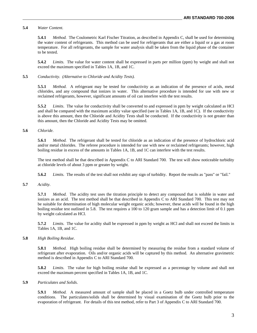#### **5.4** *Water Content.*

**5.4.1** *Method.* The Coulometric Karl Fischer Titration, as described in Appendix C, shall be used for determining the water content of refrigerants. This method can be used for refrigerants that are either a liquid or a gas at room temperature. For all refrigerants, the sample for water analysis shall be taken from the liquid phase of the container to be tested.

**5.4.2** *Limits.* The value for water content shall be expressed in parts per million (ppm) by weight and shall not exceed the maximum specified in Tables 1A, 1B, and 1C.

#### **5.5** *Conductivity. (Alternative to Chloride and Acidity Tests).*

**5.5.1** *Method.* A refrigerant may be tested for conductivity as an indication of the presence of acids, metal chlorides, and any compound that ionizes in water. This alternative procedure is intended for use with new or reclaimed refrigerants, however, significant amounts of oil can interfere with the test results.

**5.5.2** *Limits*. The value for conductivity shall be converted to and expressed in ppm by weight calculated as HCl and shall be compared with the maximum acidity value specified (see in Tables 1A, 1B, and 1C). If the conductivity is above this amount, then the Chloride and Acidity Tests shall be conducted. If the conductivity is not greater than this amount, then the Chloride and Acidity Tests may be omitted.

#### **5.6** *Chloride.*

**5.6.1** *Method.* The refrigerant shall be tested for chloride as an indication of the presence of hydrochloric acid and/or metal chlorides. The referee procedure is intended for use with new or reclaimed refrigerants; however, high boiling residue in excess of the amounts in Tables 1A, 1B, and 1C can interfere with the test results.

The test method shall be that described in Appendix C to ARI Standard 700*.* The test will show noticeable turbidity at chloride levels of about 3 ppm or greater by weight.

**5.6.2** *Limits.* The results of the test shall not exhibit any sign of turbidity. Report the results as "pass" or "fail."

#### **5.7** *Acidity.*

**5.7.1** *Method.* The acidity test uses the titration principle to detect any compound that is soluble in water and ionizes as an acid. The test method shall be that described in Appendix C to ARI Standard 700*.* This test may not be suitable for determination of high molecular weight organic acids; however, these acids will be found in the high boiling residue test outlined in 5.8. The test requires a 100 to 120 gram sample and has a detection limit of 0.1 ppm by weight calculated as HCl.

**5.7.2** *Limits.* The value for acidity shall be expressed in ppm by weight as HCl and shall not exceed the limits in Tables 1A, 1B, and 1C.

#### **5.8** *High Boiling Residue*.

**5.8.1** *Method.* High boiling residue shall be determined by measuring the residue from a standard volume of refrigerant after evaporation. Oils and/or organic acids will be captured by this method. An alternative gravimetric method is described in Appendix C to ARI Standard 700.

**5.8.2** *Limits.* The value for high boiling residue shall be expressed as a percentage by volume and shall not exceed the maximum percent specified in Tables 1A, 1B, and 1C.

#### **5.9** *Particulates and Solids*.

**5.9.1** *Method.* A measured amount of sample shall be placed in a Goetz bulb under controlled temperature conditions. The particulates/solids shall be determined by visual examination of the Goetz bulb prior to the evaporation of refrigerant. For details of this test method, refer to Part 3 of Appendix C to ARI Standard 700.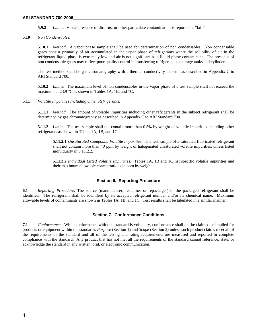**5.9.2** *Limits.* Visual presence of dirt, rust or other particulate contamination is reported as "fail."

**5.10** *Non Condensables.* 

**5.10.1** *Method.* A vapor phase sample shall be used for determination of non condensables. Non condensable gases consist primarily of air accumulated in the vapor phase of refrigerants where the solubility of air in the refrigerant liquid phase is extremely low and air is not significant as a liquid phase contaminant. The presence of non condensable gases may reflect poor quality control in transferring refrigerants to storage tanks and cylinders.

The test method shall be gas chromatography with a thermal conductivity detector as described in Appendix C to ARI Standard 700.

**5.10.2** *Limits.* The maximum level of non condensables in the vapor phase of a test sample shall not exceed the maximum at 23.9 °C as shown in Tables 1A, 1B, and 1C.

**5.11** *Volatile Impurities Including Other Refrigerants.* 

**5.11.1** *Method*. The amount of volatile impurities including other refrigerants in the subject refrigerant shall be determined by gas chromatography as described in Appendix C to ARI Standard 700*.* 

**5.11.2** *Limits.* The test sample shall not contain more than 0.5% by weight of volatile impurities including other refrigerants as shown in Tables 1A, 1B, and 1C.

**5.11.2.1** *Unsaturated Compound Volatile Impurities*. The test sample of a saturated fluorinated refrigerant shall not contain more than 40 ppm by weight of halogenated unsaturated volatile impurities, unless listed individually in 5.11.2.2.

**5.11.2.2** *Individual Listed Volatile Impuritie*s. Tables 1A, 1B and 1C list specific volatile impurities and their maximum allowable concentrations in ppm by weight.

#### **Section 6. Reporting Procedure**

**6.1** *Reporting Procedure.* The source (manufacturer, reclaimer or repackager) of the packaged refrigerant shall be identified. The refrigerant shall be identified by its accepted refrigerant number and/or its chemical name. Maximum allowable levels of contaminants are shown in Tables 1A, 1B, and 1C. Test results shall be tabulated in a similar manner.

#### **Section 7. Conformance Conditions**

**7.1** *Conformance.*While conformance with this standard is voluntary, conformance shall not be claimed or implied for products or equipment within the standard's *Purpose* (Section 1) and *Scope* (Section 2) unless such product claims meet all of the requirements of the standard and all of the testing and rating requirements are measured and reported in complete compliance with the standard. Any product that has not met all the requirements of the standard cannot reference, state, or acknowledge the standard in any written, oral, or electronic communication.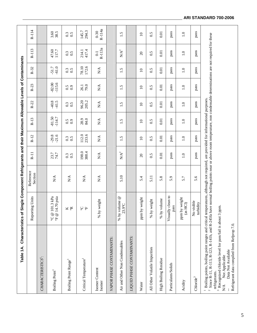| Table 1A.                                                                                                                                                                                                                    | Characteristics of Single Component Refrigerants and their Maximum Allowable Levels of Contaminants |                                                                                                                      |                           |                        |                      |                        |                        |                         |                           |                    |
|------------------------------------------------------------------------------------------------------------------------------------------------------------------------------------------------------------------------------|-----------------------------------------------------------------------------------------------------|----------------------------------------------------------------------------------------------------------------------|---------------------------|------------------------|----------------------|------------------------|------------------------|-------------------------|---------------------------|--------------------|
|                                                                                                                                                                                                                              | Reporting Units                                                                                     | Reference<br>Section                                                                                                 | $R-11$                    | $R-12$                 | $R-13$               | $R-22$                 | $R-23$                 | $R-32$                  | R-113                     | $R-114$            |
| CHARACTERISTICS <sup>1</sup> :                                                                                                                                                                                               |                                                                                                     |                                                                                                                      |                           |                        |                      |                        |                        |                         |                           |                    |
| Boiling Point <sup>1</sup>                                                                                                                                                                                                   | 101.3 kPa<br>14.70 psia<br>$\mathcal{O}$<br>$\mathbb{P}$ 4                                          | $\mathbb{N}\mathbb{A}$                                                                                               | 23.7<br>74.7              | $-29.8$<br>$-21.6$     | $-81.50$<br>$-114.7$ | $-40.8$<br>41.5        | $-82.00$<br>$-115.6$   | $-61.0$<br>$-51.7$      | 47.60<br>117.7            | 3.60<br>38.5       |
| Boiling Point Range <sup>1</sup>                                                                                                                                                                                             | <b>K</b> &                                                                                          | $\sum_{i=1}^{n}$                                                                                                     | $\frac{0.3}{0.5}$         | 0.3                    | 0.5                  | $\frac{0.3}{0.5}$      | 0.5                    | $\frac{0.3}{0.5}$       | 0.3                       | 0.3                |
| Critical Temperature <sup>1</sup>                                                                                                                                                                                            | <b>ي</b><br>$\overline{\mathbf{F}}$                                                                 | N/A                                                                                                                  | 198.0<br>388.4            | 112.0<br>233.6         | 28.9<br>84.0         | 96.20<br>205.2         | 79.0<br>26.1           | 78.10<br>172.6          | 417.4<br>214.1            | 294.3<br>145.7     |
| Isomer Content<br>Isomer                                                                                                                                                                                                     | % by weight                                                                                         | $\mathbf{N}\mathbf{A}$                                                                                               | $\mathbf{N}\mathbf{A}$    | $\mathbb{N}\mathbb{A}$ | $\sum^\mathbf{A}$    | $\mathbf{N}\mathbf{A}$ | $\mathbb{N}\mathbb{A}$ | $\mathbf{N} \mathbf{A}$ | R-113a<br>$\overline{0}$  | R-114a<br>$0 - 30$ |
| VAPOR PHASE CONTAMINANTS:                                                                                                                                                                                                    |                                                                                                     |                                                                                                                      |                           |                        |                      |                        |                        |                         |                           |                    |
| Air and Other Non Condensables                                                                                                                                                                                               | % by volume @<br>23.9°C                                                                             | 5.10                                                                                                                 | $\mathbf{N} \mathbf{A}^2$ | 1.5                    | 1.5                  | 1.5                    | 1.5                    | 1.5                     | $\mathbf{N} \mathbf{A}^2$ | 1.5                |
| LIQUID PHASE CONTAMINANTS:                                                                                                                                                                                                   |                                                                                                     |                                                                                                                      |                           |                        |                      |                        |                        |                         |                           |                    |
| Water                                                                                                                                                                                                                        | by weight<br>ppm                                                                                    | 5.4                                                                                                                  | $\Omega$                  | $\Omega$               | $\Omega$             | $\Box$                 | $\Box$                 | $\Box$                  | $\Omega$                  | $\Box$             |
| All Other Volatile Impurities                                                                                                                                                                                                | by weight<br>$\frac{8}{2}$                                                                          | 5.11                                                                                                                 | 0.5                       | 0.5                    | 0.5                  | 0.5                    | 0.5                    | 0.5                     | 0.5                       | 0.5                |
| High Boiling Residue                                                                                                                                                                                                         | % by volume                                                                                         | 5.8                                                                                                                  | 0.01                      | 0.01                   | 0.01                 | 0.01                   | 0.01                   | 0.01                    | 0.01                      | 0.01               |
| Particulates/Solids                                                                                                                                                                                                          | Visually clean to<br>pass                                                                           | 5.9                                                                                                                  | pass                      | pass                   | pass                 | pass                   | pass                   | pass                    | pass                      | pass               |
| Acidity                                                                                                                                                                                                                      | ppm by weight<br>(as HCl)                                                                           | 5.7                                                                                                                  | 1.0                       | 1.0                    | $\overline{1.0}$     | $\ddot{=}$             | 1.0                    | $\ddot{=}$              | 1.0                       | 1.0                |
| ${\bf Choice}^3$                                                                                                                                                                                                             | No visible<br>turbidity                                                                             | 5.6                                                                                                                  | pass                      | pass                   | pass                 | pass                   | pass                   | pass                    | pass                      | pass               |
| Boiling points, boiling point ranges and critical temperatures, although not required, are provided for informational purposes.<br><sup>2</sup> Since $\overline{R}$ -11, R-113, R-123, R-141b, and R-245fa<br>refrigerants. |                                                                                                     | have normal boiling points near or above room temperature, non condensable determinations are not required for these |                           |                        |                      |                        |                        |                         |                           |                    |
| $^3\,$ Recognized chloride level for pass/fail is about 3<br>Refrigerant data compiled from Refprop 7.0.<br>Data Not Available<br>Not Applicable<br>N/A                                                                      | ppm.                                                                                                |                                                                                                                      |                           |                        |                      |                        |                        |                         |                           |                    |

# **ARI STANDARD 700-2006**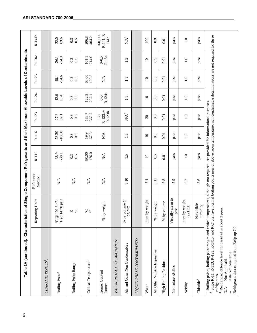| Table 1A (continued).                                                                                                                                                                                                                                                                                                                                                                           | Characteri                                                                   | stics of Single Component Refrigerants and their Maximum Allowable Levels of Contaminants |                    |                      |                              |                 |                        |                    |                                 |
|-------------------------------------------------------------------------------------------------------------------------------------------------------------------------------------------------------------------------------------------------------------------------------------------------------------------------------------------------------------------------------------------------|------------------------------------------------------------------------------|-------------------------------------------------------------------------------------------|--------------------|----------------------|------------------------------|-----------------|------------------------|--------------------|---------------------------------|
|                                                                                                                                                                                                                                                                                                                                                                                                 | Reporting Units                                                              | Reference<br>Section                                                                      | $R-115$            | R-116                | R-123                        | R-124           | R-125                  | R-134a             | R-141b                          |
| CHARACTERISTICS <sup>1</sup> :                                                                                                                                                                                                                                                                                                                                                                  |                                                                              |                                                                                           |                    |                      |                              |                 |                        |                    |                                 |
| Boiling Point <sup>1</sup>                                                                                                                                                                                                                                                                                                                                                                      | @ 101.3 kPa<br>14.70 psia<br>$\circledcirc$<br>$\frac{1}{2}$<br>$\mathsf{S}$ | $\sum_{i=1}^{n}$                                                                          | $-38.9$<br>$-38.1$ | $-78.20$<br>$-108.8$ | 27.8<br>82.1                 | $-12.0$<br>10.4 | $-54.6$<br>$-48.1$     | $-14.9$<br>$-26.1$ | 32.6                            |
| Boiling Point Range <sup>1</sup>                                                                                                                                                                                                                                                                                                                                                                | <b>K</b> &                                                                   | N/A                                                                                       | 0.3                | 0.3                  | 0.3                          | 0.3             | 0.3                    | 0.3                | 0.3                             |
| Critical Temperature <sup>1</sup>                                                                                                                                                                                                                                                                                                                                                               | Η S                                                                          | $\mathbf{N} \mathbf{A}$                                                                   | 80.00<br>176.0     | 19.8                 | 183.7<br>362.7               | 122.3<br>252.1  | 150.8<br>66.00         | 214.0<br>101.1     | 206.8<br>404.2                  |
| Isomer Content<br>Isomer                                                                                                                                                                                                                                                                                                                                                                        | by weight<br>%                                                               | $\sum_{i=1}^{n}$                                                                          | $\sum_{i=1}^{n}$   | $\sum_{i=1}^{n}$     | $R-123a+$<br>R-123b<br>$0-8$ | R-124a<br>$0-5$ | $\mathop{\mathrm{NA}}$ | R-134<br>$0 - 0.5$ | R-141, R-<br>$0-0.1$ ea<br>141a |
| VAPOR PHASE CONTAMINANTS:                                                                                                                                                                                                                                                                                                                                                                       |                                                                              |                                                                                           |                    |                      |                              |                 |                        |                    |                                 |
| Air and Other Non Condensables                                                                                                                                                                                                                                                                                                                                                                  | by volume @<br>23.9°C<br>$\frac{1}{8}$                                       | 5.10                                                                                      | 1.5                | 1.5                  | $\mathbf{N} \mathbf{A}^2$    | 1.5             | 1.5                    | 1.5                | $\mathbf{N} \mathbf{A}^2$       |
| LIQUID PHASE CONTAMINANTS:                                                                                                                                                                                                                                                                                                                                                                      |                                                                              |                                                                                           |                    |                      |                              |                 |                        |                    |                                 |
| Water                                                                                                                                                                                                                                                                                                                                                                                           | ppm by weight                                                                | 5.4                                                                                       | $\overline{10}$    | $\overline{10}$      | $\overline{c}$               | $\overline{10}$ | $\overline{10}$        | $\overline{10}$    | 100                             |
| All Other Volatile Impurities                                                                                                                                                                                                                                                                                                                                                                   | % by weight                                                                  | 5.11                                                                                      | 0.5                | 0.5                  | 0.5                          | 0.5             | 0.5                    | 0.5                | 0.9                             |
| High Boiling Residue                                                                                                                                                                                                                                                                                                                                                                            | by volume<br>$\%$                                                            | 5.8                                                                                       | 0.01               | 0.01                 | 0.01                         | 0.01            | 0.01                   | 0.01               | 0.01                            |
| Particulates/Solids                                                                                                                                                                                                                                                                                                                                                                             | Visually clean to<br>$_{\rm pass}$                                           | 5.9                                                                                       | pass               | pass                 | pass                         | pass            | pass                   | pass               | pass                            |
| Acidity                                                                                                                                                                                                                                                                                                                                                                                         | ppm by weight<br>(as HCl)                                                    | 5.7                                                                                       | $\overline{1.0}$   | $\overline{1.0}$     | $\frac{0}{1}$                | 1.0             | $\frac{0}{1}$          | 1.0                | 1.0                             |
| $Chloride^3$                                                                                                                                                                                                                                                                                                                                                                                    | No visible<br>turbidity                                                      | 5.6                                                                                       | pass               | pass                 | pass                         | pass            | pass                   | pass               | pass                            |
| <sup>2</sup> Since R-11, R-113, R-123, R-141b, and R-245fa have normal boiling points near or above room temperature, non condensable determinations are not required for these<br><sup>1</sup> Boiling points, boiling point ranges and critical<br><sup>3</sup> Recognized chloride level for pass/fail is about<br>Data Not Available<br>Not Applicable<br>refrigerants.<br>$\sum_{i=1}^{n}$ | $3$ ppm. $\,$                                                                | temperatures, although not required, are provided for informational purposes.             |                    |                      |                              |                 |                        |                    |                                 |
| Refrigerant data compiled from Refprop 7.0.                                                                                                                                                                                                                                                                                                                                                     |                                                                              |                                                                                           |                    |                      |                              |                 |                        |                    |                                 |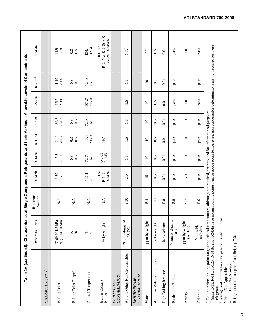| Table 1A (continued). Characteristi                                                                                                                                                                                                                                                                                              |                                                        | cs of Single Component Refrigerants and their Maximum Allowable Levels of Contaminants |                                |                     |                                                   |                    |                     |                                           |                                                      |
|----------------------------------------------------------------------------------------------------------------------------------------------------------------------------------------------------------------------------------------------------------------------------------------------------------------------------------|--------------------------------------------------------|----------------------------------------------------------------------------------------|--------------------------------|---------------------|---------------------------------------------------|--------------------|---------------------|-------------------------------------------|------------------------------------------------------|
|                                                                                                                                                                                                                                                                                                                                  | Reporting Units                                        | Reference<br>Section                                                                   | R-142b                         | R-143a              | R-152a                                            | $R-218$            | R-227ea             | R-236fa                                   | R-245fa                                              |
| CHARACTERISTICS <sup>1</sup> :                                                                                                                                                                                                                                                                                                   |                                                        |                                                                                        |                                |                     |                                                   |                    |                     |                                           |                                                      |
| Boiling Point                                                                                                                                                                                                                                                                                                                    | $\,$ T $\oplus$ 14.70 psia<br>$^{\circ}$ C @ 101.3 kPa | N/A                                                                                    | $-9.20$<br>15.5                | $-47.2$<br>$-53.0$  | $-24.0$<br>$-11.2$                                | $-36.8$<br>$-34.3$ | $-16.5$<br>2.39     | $-1.40$<br>29.4                           | 14.9<br>58.8                                         |
| Boiling Point Range <sup>1</sup>                                                                                                                                                                                                                                                                                                 | K<br>R                                                 | N/A                                                                                    | Ť                              | 0.3                 | 0.3                                               | 0.3<br>0.5         | Ť                   | $\begin{array}{c} 0.5 \\ 0.5 \end{array}$ | 0.3                                                  |
| Critical Temperature <sup>1</sup>                                                                                                                                                                                                                                                                                                | 出 S                                                    | $\sum_{i=1}^{n}$                                                                       | 278.8<br>137.1                 | 72.70<br>162.9      | 235.9<br>113.3                                    | 161.6<br>72.00     | 215.0<br>101.7      | 124.9<br>256.8                            | 309.4<br>154.1                                       |
| Isomer Content<br>Isomer                                                                                                                                                                                                                                                                                                         | % by weight                                            | $\mathbb{N}\mathbb{A}$                                                                 | $0-0.1$ ea<br>R-142a<br>R-142, | R-143<br>$0 - 0.01$ | $\mathop{\rm N}\nolimits\!mathop{\rm A}\nolimits$ | ł                  | ł.                  | ł                                         | R-245ca, R-245cb, R-<br>245ea, R-245eb<br>$0-0.1$ ea |
| CONTAMINANTS:<br>VAPOR PHASE                                                                                                                                                                                                                                                                                                     |                                                        |                                                                                        |                                |                     |                                                   |                    |                     |                                           |                                                      |
| Air and Other Non Condensables                                                                                                                                                                                                                                                                                                   | % by volume @<br>23.9°C                                | 5.10                                                                                   | 2.0                            | 1.5                 | 1.5                                               | 1.5                | $\ddot{1}.\ddot{5}$ | 1.5                                       | $\mathbf{N}/\mathbf{A}^2$                            |
| CONTAMINANTS:<br>LIQUID PHASE                                                                                                                                                                                                                                                                                                    |                                                        |                                                                                        |                                |                     |                                                   |                    |                     |                                           |                                                      |
| Water                                                                                                                                                                                                                                                                                                                            | ppm by weight                                          | 5.4                                                                                    | 15                             | $\overline{10}$     | $\overline{10}$                                   | $\overline{10}$    | $\overline{10}$     | $\overline{10}$                           | $\overline{c}$                                       |
| All Other Volatile Impurities                                                                                                                                                                                                                                                                                                    | % by weight                                            | 5.11                                                                                   | 0.5                            | 0.5                 | 0.5                                               | 0.5                | 0.5                 | 0.5                                       | 0.5                                                  |
| High Boiling Residue                                                                                                                                                                                                                                                                                                             | % by volume                                            | 5.8                                                                                    | 0.01                           | 0.01                | 0.01                                              | 0.01               | 0.01                | 0.01                                      | 0.01                                                 |
| Particulates/Solids                                                                                                                                                                                                                                                                                                              | Visually clean to<br>pass                              | 5.9                                                                                    | pass                           | pass                | pass                                              | pass               | pass                | pass                                      | pass                                                 |
| Acidity                                                                                                                                                                                                                                                                                                                          | ppm by weight<br>$\left( \text{as HCl} \right)$        | 5.7                                                                                    | 3.0                            | $\ddot{0}$          | $\ddot{0}$                                        | $\overline{1.0}$   | $\ddot{0}$          | $\ddot{0}$                                | $\ddot{0}$                                           |
| ${\bf Choice}^3$                                                                                                                                                                                                                                                                                                                 | No visible<br>turbidity                                | 5.6                                                                                    | pass                           | pass                | pass                                              | pass               | pass                | pass                                      | pass                                                 |
| Since R-11, R-113, R-123, R-141b, and R-245fa have normal boiling points near or above room temperature, non condensable determinations are not required for these<br>Boiling points, boiling point ranges and critical temperatures, although not required, are provided for informational purposes.<br>refrigerants.<br>$\sim$ |                                                        |                                                                                        |                                |                     |                                                   |                    |                     |                                           |                                                      |
| $^3$ Recognized chloride level for pass/fail is about 3 ppm.<br>Refrigerant data compiled from Refprop 7.0.<br>Data Not Available<br>Not Applicable<br>N/A                                                                                                                                                                       |                                                        |                                                                                        |                                |                     |                                                   |                    |                     |                                           |                                                      |

7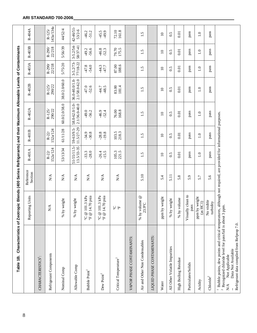| Table 1B. Characteristics of Zeotropic Blends (400 Series Refrigerants) and their Maximum Allowable Levels of Contaminants                                                                                                                                                               |                                                                               |                        |                              |                          |                                 |                                 |                           |                          |                       |
|------------------------------------------------------------------------------------------------------------------------------------------------------------------------------------------------------------------------------------------------------------------------------------------|-------------------------------------------------------------------------------|------------------------|------------------------------|--------------------------|---------------------------------|---------------------------------|---------------------------|--------------------------|-----------------------|
|                                                                                                                                                                                                                                                                                          | Reporting Units                                                               | Reference<br>Section   | R-401A                       | R-401B                   | R-402A                          | R-402B                          | R-403A                    | R-403B                   | R-404A                |
| CHARACTERISTICS <sup>1</sup> :                                                                                                                                                                                                                                                           |                                                                               |                        |                              |                          |                                 |                                 |                           |                          |                       |
| Refrigerant Components                                                                                                                                                                                                                                                                   | $\mathop{\rm N}\nolimits\!mathop{\rm A}\nolimits$                             | $\mathbb{N}\mathbb{A}$ | 152a/124<br>$R-22/$          | 152a/124<br>$R-22/$      | $R-125/$<br>290/22              | $R-125/$<br>290/22              | 22/218<br>$R-290/$        | 22/218<br>$R-290$        | 143a/134a<br>$R-125/$ |
| Nominal Comp                                                                                                                                                                                                                                                                             | by weight<br>%                                                                | $\mathbb{N}\mathbb{A}$ | 53/13/34                     | 61/11/28                 | 60.0/2.0/38.0                   | 38.0/2.0/60.0                   | 5/75/20                   | 5/56/39                  | 44/52/4               |
| Allowable Comp                                                                                                                                                                                                                                                                           | by weight<br>$\%$                                                             | $\mathbb{N}\mathbb{A}$ | $51 - 55/11.5$<br>13.5/33-35 | 11.5/27-29<br>59-63/9.5- | 58.0-62.0/1.0-<br>2.1/36.0-40.0 | 36.0-40.0/1.0-<br>2.1/58.0-62.0 | $3 - 5.2/73 - 77/18 - 22$ | $3 - 5.2/54$<br>58/37-41 | 42-46/51<br>53/2-6    |
| Bubble Point                                                                                                                                                                                                                                                                             | $^{\circ}$ C @ 101.3 kPa<br>14.70 psia<br>$\mathbb{P}$ el                     | $N\mathcal{A}$         | $-33.3$<br>$-28.0$           | $-30.8$<br>$-34.9$       | $-49.0$<br>$-56.2$              | $-52.6$<br>$-47.0$              | $-54.0$<br>$-47.8$        | $-56.6$<br>$-49.2$       | $-46.2$<br>$-51.2$    |
| Dew Point <sup>1</sup>                                                                                                                                                                                                                                                                   | 101.3 kPa<br>14.70 psia<br>$^\circ \text{C}$ @<br>$\mathcal{D}$ $\pm$ $\circ$ | $\sum_{i=1}^{n}$       | $-26.4$<br>$-15.5$           | $-28.8$<br>$-19.8$       | $-46.9$<br>$-52.4$              | $-48.5$<br>-44.7                | $-47.7$                   | $-46.8$<br>$-52.3$       | $-45.5$<br>$-49.9$    |
| Critical Temperature <sup>1</sup>                                                                                                                                                                                                                                                        | 山 Q                                                                           | $\sum_{i=1}^{n}$       | 105.3<br>221.5               | 103.5<br>218.3           | 168.8<br>76.00                  | 83.00<br>181.4                  | 188.6<br>87.00            | 79.70<br>175.5           | 72.10<br>161.8        |
| VAPOR PHASE CONTAMINANTS:                                                                                                                                                                                                                                                                |                                                                               |                        |                              |                          |                                 |                                 |                           |                          |                       |
| Air and Other Non Condensables                                                                                                                                                                                                                                                           | % by volume $@$<br>23.9°C                                                     | 5.10                   | 1.5                          | 1.5                      | 1.5                             | 1.5                             | 1.5                       | 1.5                      | 1.5                   |
| LIQUID PHASE CONTAMINANTS:                                                                                                                                                                                                                                                               |                                                                               |                        |                              |                          |                                 |                                 |                           |                          |                       |
| Water                                                                                                                                                                                                                                                                                    | by weight<br>ppm                                                              | 5.4                    | $\overline{10}$              | $\overline{a}$           | $\overline{10}$                 | $\overline{10}$                 | $\overline{10}$           | $\overline{10}$          | $\overline{a}$        |
| All Other Volatile Impurities                                                                                                                                                                                                                                                            | by weight<br>$\%$                                                             | 5.11                   | 0.5                          | 0.5                      | 0.5                             | 0.5                             | 0.5                       | 0.5                      | 0.5                   |
| High Boiling Residue                                                                                                                                                                                                                                                                     | % by volume                                                                   | 5.8                    | 0.01                         | 0.01                     | $0.01\,$                        | 0.01                            | 0.01                      | 0.01                     | 0.01                  |
| Particulates/Solids                                                                                                                                                                                                                                                                      | Visually clean to<br>pass                                                     | Q<br>ທ່                | pass                         | pass                     | pass                            | pass                            | pass                      | pass                     | pass                  |
| Acidity                                                                                                                                                                                                                                                                                  | ppm by weight<br>(as HCl)                                                     | 5.7                    | $\overline{1.0}$             | $\overline{1.0}$         | $\frac{0}{1}$                   | $\overline{1.0}$                | $\overline{1.0}$          | $\frac{0}{1}$            | $\overline{1.0}$      |
| ${\bf Choice}^2$                                                                                                                                                                                                                                                                         | No visible<br>turbidity                                                       | 5.6                    | pass                         | pass                     | pass                            | pass                            | pass                      | pass                     | pass                  |
| Bubble points, dew points and critical temperatures, although not required, are provided for informational purposes.<br>$^2$ Recognized chloride level for pass/fail is about 3<br>Refrigerant data compiled from Refprop 7.0.<br>Data Not Available<br>Not Applicable<br>$\mathbb{R}^4$ | ppm.                                                                          |                        |                              |                          |                                 |                                 |                           |                          |                       |

### **ARI STANDARD 700-2006**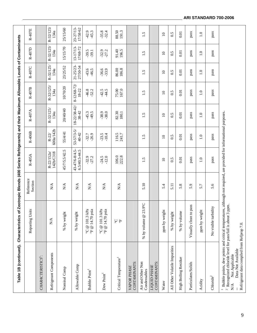| Table 1B (continued). Characteristics                                                                                                                                                                                                                                             |                                                      | of Zeotropic Blends (400 Series Refrigerants) and their Maximum Allowable Levels of Contaminants |                                     |                           |                                 |                     |                            |                      |                      |
|-----------------------------------------------------------------------------------------------------------------------------------------------------------------------------------------------------------------------------------------------------------------------------------|------------------------------------------------------|--------------------------------------------------------------------------------------------------|-------------------------------------|---------------------------|---------------------------------|---------------------|----------------------------|----------------------|----------------------|
|                                                                                                                                                                                                                                                                                   | Reporting Units                                      | Reference<br>Section                                                                             | R-405A                              | $R-406B$                  | R-407A                          | R-407B              | R-407C                     | R-407D               | R-407E               |
| CHARACTERISTICS <sup>1</sup> :                                                                                                                                                                                                                                                    |                                                      |                                                                                                  |                                     |                           |                                 |                     |                            |                      |                      |
| Refrigerant Components                                                                                                                                                                                                                                                            | $\mathop{\rm N}\nolimits\!{\mathop{\rm A}\nolimits}$ | $\mathbb{N}\mathbb{A}$                                                                           | 142b/C318<br>$R - 22/152a$          | 600a/142b<br>$R - 22/$    | R-32/125/<br>134a               | R-32/125/<br>134a   | R-32/125/<br>134a          | R-32/125/<br>134a    | R-32/125<br>134a     |
| Nominal Comp                                                                                                                                                                                                                                                                      | % by weight                                          | $\mathbb{N}\mathbb{A}$                                                                           | 45/7/5.5/42.5                       | 55/4/41                   | 20/40/40                        | 10/70/20            | 23/25/52                   | 15/15/70             | 25/15/60             |
| Allowable Comp                                                                                                                                                                                                                                                                    | % by weight                                          | $\sum_{i=1}^{n}$                                                                                 | 43-47/6-8/4.5-<br>$6.5/40.5 - 44.5$ | $53 - 57/3 - 5/$<br>40-42 | $18 - 22/38 - 42/$<br>$38 - 42$ | 8-12/68-72<br>18-22 | $21 - 25/23$ -<br>27/50-54 | 17/68-72<br>13-17/13 | 17/58-62<br>23-27/13 |
| Bubble Point <sup>1</sup>                                                                                                                                                                                                                                                         | T @ 14.70 psia<br>@ 101.3 kPa<br>$\mathsf{S}$        | N/A                                                                                              | $-32.9$<br>$-27.2$                  | $-26.9$<br>$-32.7$        | $45.3$<br>$49.5$                | $-46.8$<br>$-52.2$  | $-43.6$<br>$-46.5$         | $-39.5$<br>$-39.1$   | $-45.3$<br>$-42.9$   |
| Dew Point <sup>1</sup>                                                                                                                                                                                                                                                            | °C @ 101.3 $kPa$<br>T @ 14.70 psia                   | N/A                                                                                              | $-24.5$<br>$-12.0$                  | $-23.5$<br>$-10.4$        | $-38.9$<br>$-38.0$              | 44.5                | $-36.6$<br>$-33.9$         | $-32.9$<br>$-27.2$   | $-35.8$<br>$-32.4$   |
| Critical Temperature <sup>1</sup>                                                                                                                                                                                                                                                 | 山 Q                                                  | $\stackrel{\triangle}{\approx}$                                                                  | 106.0<br>222.8                      | 116.5<br>241.7            | 82.30<br>180.1                  | 167.0<br>75.00      | 186.8<br>86.00             | 91.40<br>196.5       | 88.50<br>191.3       |
| CONTAMINANTS:<br>VAPOR PHASE                                                                                                                                                                                                                                                      |                                                      |                                                                                                  |                                     |                           |                                 |                     |                            |                      |                      |
| Air and Other Non<br>Condensables                                                                                                                                                                                                                                                 | 3.9°C<br>$\mathbf{\Omega}$<br>$\%$ by volume $@$     | 5.10                                                                                             | 1.5                                 | 1.5                       | 1.5                             | 1.5                 | 1.5                        | 1.5                  | 1.5                  |
| CONTAMINANTS:<br><b>LIQUID PHASE</b>                                                                                                                                                                                                                                              |                                                      |                                                                                                  |                                     |                           |                                 |                     |                            |                      |                      |
| Water                                                                                                                                                                                                                                                                             | ppm by weight                                        | 5.4                                                                                              | $\overline{10}$                     | $\supseteq$               | $\supseteq$                     | $\overline{10}$     | $\Omega$                   | $\Xi$                | $\supseteq$          |
| All Other Volatile Impurities                                                                                                                                                                                                                                                     | % by weight                                          | 5.11                                                                                             | 0.5                                 | 0.5                       | 0.5                             | 0.5                 | 0.5                        | 0.5                  | 0.5                  |
| High Boiling Residue                                                                                                                                                                                                                                                              | % by volume                                          | 5.8                                                                                              | 0.01                                | 0.01                      | 0.01                            | 0.01                | 0.01                       | 0.01                 | 0.01                 |
| Particulates/Solids                                                                                                                                                                                                                                                               | pass<br>Visually clean to                            | 5.9                                                                                              | pass                                | pass                      | pass                            | pass                | pass                       | pass                 | pass                 |
| Acidity                                                                                                                                                                                                                                                                           | ppm by weight                                        | 5.7                                                                                              | $\ddot{=}$                          | $\overline{1.0}$          | $\overline{1.0}$                | $\ddot{=}$          | 1.0                        | $\overline{1.0}$     | $\overline{1.0}$     |
| Chloride <sup>2</sup>                                                                                                                                                                                                                                                             | No visible turbidity                                 | 5.6                                                                                              | pass                                | pass                      | pass                            | pass                | pass                       | pass                 | pass                 |
| Bubble points, dew points and critical temperatures, although not required, are provided for informational purposes<br>$^2$ Recognized chloride level for pass/fail is about 3 ppm.<br>Refrigerant data compiled from Refprop 7.0.<br>Data Not Available<br>Not Applicable<br>N/A |                                                      |                                                                                                  |                                     |                           |                                 |                     |                            |                      |                      |

# **ARI STANDARD 700-2006**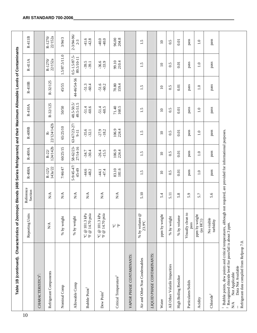| Table 1B (continued).                                                                                                                                                                                                                                                             | Characteristics of                                         | Zeotropic Blends (400 Series Refrigerants) and their Maximum Allowable Levels of Contaminants |                             |                       |                             |                         |                    |                                |                       |
|-----------------------------------------------------------------------------------------------------------------------------------------------------------------------------------------------------------------------------------------------------------------------------------|------------------------------------------------------------|-----------------------------------------------------------------------------------------------|-----------------------------|-----------------------|-----------------------------|-------------------------|--------------------|--------------------------------|-----------------------|
| 10                                                                                                                                                                                                                                                                                | Units<br>Reporting                                         | Reference<br>Section                                                                          | R-408A                      | R-409A                | R-409B                      | R-410A                  | R-410B             | R-411A                         | $R-411B$              |
| CHARACTERISTICS <sup>1</sup> :                                                                                                                                                                                                                                                    |                                                            |                                                                                               |                             |                       |                             |                         |                    |                                |                       |
| Refrigerant Components                                                                                                                                                                                                                                                            | $\stackrel{\blacktriangle}{\approx}$                       | $N\!A$                                                                                        | 143a/22<br>$R-125/$         | 124/142b<br>$R - 22/$ | 22/124/142b<br>ዹ፞           | R-32/125                | R-32/125           | 22/152a<br>$R-1270/$           | 22/152a<br>$R-1270/$  |
| Nominal Comp                                                                                                                                                                                                                                                                      | % by weight                                                | $\stackrel{\triangle}{\geq}$                                                                  | 7/46/47                     | 60/25/15              | 65/25/10                    | 50/50                   | 45/55              | 1.5/87.5/11.0                  | 3/94/3                |
| Allowable Comp                                                                                                                                                                                                                                                                    | % by weight                                                | $N\!A$                                                                                        | $5 - 9/45 - 47/$<br>$45-49$ | 58-62/23-<br>27/14-16 | $63 - 67/23 - 27$<br>$9-11$ | 48.5-50.5/<br>49.5-51.5 | 44-46/54-56        | $0.5 - 1.5/87.5$<br>89.5/10-11 | 2-3/94-96/<br>$2 - 3$ |
| Bubble Point <sup>1</sup>                                                                                                                                                                                                                                                         | kPa<br>psia<br>$^{\circ}$ C @ 101.3<br>$\,$ F @ 14.70 $\,$ | N/A                                                                                           | $-44.6$<br>$-48.2$          | $-30.4$<br>$-34.7$    | $-35.6$<br>$-32.1$          | $-60.6$<br>$-51.4$      | 51.3<br>$-60.4$    | $-39.5$<br>$-39.1$             | $-41.6$<br>$-42.8$    |
| Dew Point <sup>1</sup>                                                                                                                                                                                                                                                            | kPa<br>psia<br>°C @ 101.3 1<br>°F @ 14.70 $\rm{p}$         | $N\!A$                                                                                        | $-47.4$                     | $-26.4$<br>$-15.5$    | $-27.9$<br>$-18.2$          | $-51.4$<br>$-60.5$      | $-51.6$<br>$-60.2$ | $-36.6$<br>$-33.9$             | $-40.0$<br>$-40.0$    |
| Critical Temperature <sup>1</sup>                                                                                                                                                                                                                                                 | ى ہے۔                                                      | $N\!A$                                                                                        | 83.10<br>181.6              | 106.9<br>224.4        | 106.9<br>224.4              | 71.40<br>160.5          | $70.80\,$<br>159.4 | 99.10<br>210.4                 | 204.8<br>96.00        |
| VAPOR PHASE CONTAMINANTS:                                                                                                                                                                                                                                                         |                                                            |                                                                                               |                             |                       |                             |                         |                    |                                |                       |
| Air and Other Non Condensables                                                                                                                                                                                                                                                    | $^{\circledR}$<br>$\%$ by volume<br>23.9°C                 | 5.10                                                                                          | 1.5                         | 1.5                   | 1.5                         | 1.5                     | 1.5                | 1.5                            | 1.5                   |
| LIQUID PHASE CONTAMINANTS:                                                                                                                                                                                                                                                        |                                                            |                                                                                               |                             |                       |                             |                         |                    |                                |                       |
| Water                                                                                                                                                                                                                                                                             | ppm by weight                                              | 5.4                                                                                           | $\overline{10}$             | $\overline{10}$       | $\overline{10}$             | $\overline{10}$         | $\overline{10}$    | $\overline{10}$                | $\overline{10}$       |
| All Other Volatile Impurities                                                                                                                                                                                                                                                     | % by weight                                                | 5.11                                                                                          | 0.5                         | 0.5                   | 0.5                         | 0.5                     | 0.5                | 0.5                            | 0.5                   |
| High Boiling Residue                                                                                                                                                                                                                                                              | % by volume                                                | 5.8                                                                                           | 0.01                        | 0.01                  | 0.01                        | 0.01                    | 0.01               | 0.01                           | 0.01                  |
| Particulates/Solids                                                                                                                                                                                                                                                               | Visually clean to<br>pass                                  | 5.9                                                                                           | pass                        | pass                  | pass                        | pass                    | pass               | pass                           | pass                  |
| Acidity                                                                                                                                                                                                                                                                           | ppm by weight<br>(a <sub>s</sub> HCl)                      | 5.7                                                                                           | $\ddot{=}$                  | $\overline{1.0}$      | $\overline{1.0}$            | $\overline{1.0}$        | $\overline{1.0}$   | $\overline{1.0}$               | $\overline{1.0}$      |
| ${\bf Choice}^2$                                                                                                                                                                                                                                                                  | No visible<br>turbidity                                    | 5.6                                                                                           | pass                        | pass                  | pass                        | pass                    | pass               | pass                           | pass                  |
| Bubble points, dew points and critical temperatures, although not required, are provided for informational purposes<br>$^2$ Recognized chloride level for pass/fail is about 3 ppm.<br>Refrigerant data compiled from Refprop 7.0.<br>Data Not Available<br>Not Applicable<br>N/A |                                                            |                                                                                               |                             |                       |                             |                         |                    |                                |                       |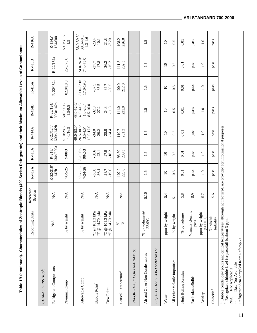| Table 1B (continued). Characteristics of                                                                                                                                                                                                                                                              |                                                                                 | Zeotropic Blends (400 Series Refrigerants) and their Maximum Allowable Levels of Contaminants |                     |                        |                                                         |                                                        |                         |                         |                                        |
|-------------------------------------------------------------------------------------------------------------------------------------------------------------------------------------------------------------------------------------------------------------------------------------------------------|---------------------------------------------------------------------------------|-----------------------------------------------------------------------------------------------|---------------------|------------------------|---------------------------------------------------------|--------------------------------------------------------|-------------------------|-------------------------|----------------------------------------|
|                                                                                                                                                                                                                                                                                                       | Units<br>Reporting                                                              | Reference<br>Section                                                                          | R-412A              | R-413A                 | R-414A                                                  | R-414B                                                 | R-415A                  | R-415B                  | R-416A                                 |
| CHARACTERISTICS <sup>1</sup> :                                                                                                                                                                                                                                                                        |                                                                                 |                                                                                               |                     |                        |                                                         |                                                        |                         |                         |                                        |
| Refrigerant Components                                                                                                                                                                                                                                                                                | $N\mathbf{A}$                                                                   | $\sum_{i=1}^{n}$                                                                              | R-22/218/<br>142b   | 134a/600a<br>$R - 218$ | 600a/142b<br>R-22/124                                   | 600a/142b<br>R-22/124                                  | R-22/152a               | R-22/152a               | 124/600<br>$R - 134a$                  |
| Nominal Comp                                                                                                                                                                                                                                                                                          | aht<br>% by wei                                                                 | $\sum_{i=1}^{n}$                                                                              | 70/5/25             | 9/88/3                 | $51.0/28.5/$<br>4.0/16.5                                | 50.0/39.0/<br>1.5/9.5                                  | 82.0/18.0               | 25.0/75.0               | 59.0/39.5/<br>1.5                      |
| Allowable Comp                                                                                                                                                                                                                                                                                        | ght<br>% by wei                                                                 | $\mathbb{N}\mathbb{A}$                                                                        | 68-72/3-<br>7/24-26 | 8-10/86<br>90/2-3      | 49.0-53.0/<br>$26.5 - 30.5$<br>15.5-17.0<br>$3.5 - 4.5$ | 48.0-52.0/<br>$37.0 - 41.0$<br>8.5-10.0<br>$1.0 - 2.0$ | 81.0-83.0/<br>17.0-19.0 | 24.0-26.0/<br>74.0-76.0 | 58.0-59.5/<br>39.0-40.5<br>$1.3 - 1.6$ |
| Bubble Point <sup>1</sup>                                                                                                                                                                                                                                                                             | psia<br>$^{\circ}$ C @ 101.3 kPa<br>$\rm{^{\rm o}F}$ @ 14.70                    | $\sum_{i=1}^{n}$                                                                              | $-38.0$<br>$-36.4$  | $-30.6$<br>$-23.1$     | $-34.0$<br>-29.2                                        | $-32.9$<br>$-27.2$                                     | $-37.5$<br>35.5         | $-27.7$<br>$-17.8$      | $-23.4$<br>$-10.1$                     |
| Dew Point <sup>1</sup>                                                                                                                                                                                                                                                                                | $^{\circ}$ C @ 101.3 kPa<br>psia<br>$\ensuremath{^{\mathrm{p}}}\xspace$ 6 14.70 | $\sum_{i=1}^{n}$                                                                              | $-19.6$<br>$-28.7$  | $-27.9$<br>$-18.2$     | $-25.8$<br>$-14.4$                                      | $-11.8$<br>$-24.3$                                     | $-30.5$<br>$-34.7$      | $-26.2$<br>$-15.2$      | $-21.8$<br>$-7.20$                     |
| Critical Temperature <sup>1</sup>                                                                                                                                                                                                                                                                     | $\mathsf{S}$<br>$\mathbb{F}$                                                    | $\mathbf{N}\mathbf{A}$                                                                        | 107.2<br>225.0      | 98.50<br>209.3         | 110.7<br>231.3                                          | 111.0<br>231.8                                         | 100.0<br>212.0          | 111.3<br>232.3          | 108.2<br>226.8                         |
| VAPOR PHASE CONTAMINANTS:                                                                                                                                                                                                                                                                             |                                                                                 |                                                                                               |                     |                        |                                                         |                                                        |                         |                         |                                        |
| Air and Other Non Condensables                                                                                                                                                                                                                                                                        | $^\copyright$<br>% by volume<br>23.9°C                                          | 5.10                                                                                          | 1.5                 | 1.5                    | 1.5                                                     | 1.5                                                    | $\ddot{1}.\ddot{5}$     | 1.5                     | 1.5                                    |
| LIQUID PHASE CONTAMINANTS:                                                                                                                                                                                                                                                                            |                                                                                 |                                                                                               |                     |                        |                                                         |                                                        |                         |                         |                                        |
| Water                                                                                                                                                                                                                                                                                                 | ppm by weight                                                                   | 5.4                                                                                           | $\Omega$            | $\Omega$               | $\Omega$                                                | $\Omega$                                               | $\Omega$                | $\Omega$                | $\Omega$                               |
| All Other Volatile Impurities                                                                                                                                                                                                                                                                         | % by weight                                                                     | 5.11                                                                                          | 0.5                 | 0.5                    | 0.5                                                     | 0.5                                                    | 0.5                     | 0.5                     | 0.5                                    |
| High Boiling Residue                                                                                                                                                                                                                                                                                  | % by volume                                                                     | 5.8                                                                                           | 0.01                | 0.01                   | 0.01                                                    | 0.01                                                   | 0.01                    | 0.01                    | 0.01                                   |
| Particulates/Solids                                                                                                                                                                                                                                                                                   | Visually clean to<br>pass                                                       | 5.9                                                                                           | pass                | pass                   | pass                                                    | pass                                                   | pass                    | pass                    | pass                                   |
| Acidity                                                                                                                                                                                                                                                                                               | ppm by weight<br>(as HCl)                                                       | 5.7                                                                                           | $\overline{1.0}$    | $\overline{1.0}$       | $\overline{1.0}$                                        | $\overline{1.0}$                                       | $\overline{1.0}$        | $\overline{1.0}$        | $\overline{1.0}$                       |
| Chloride <sup>2</sup>                                                                                                                                                                                                                                                                                 | No visible<br>turbidity                                                         | 5.6                                                                                           | pass                | pass                   | pass                                                    | pass                                                   | pass                    | pass                    | pass                                   |
| Bubble points, dew points and critical temperatures, although not required, are provided for informational purposes.<br>$^2$ Recognized chloride level for pass/fail is about 3 ppm.<br>Refrigerant data compiled from Refprop 7.0.<br>Data Not Available<br>Not Applicable<br>$\mathbb{N}\mathbb{A}$ |                                                                                 |                                                                                               |                     |                        |                                                         |                                                        |                         |                         |                                        |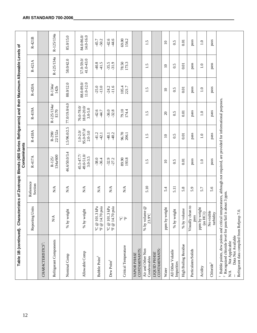|                                                                                                                                                                                                                                                                                 | Table 1B (continued). Characteristics of Zeotropic Blends (400 Series Refrigerants) and their Maximum Allowable Levels of |                        | Contaminants                               |                                             |                                         |                        |                         |                         |
|---------------------------------------------------------------------------------------------------------------------------------------------------------------------------------------------------------------------------------------------------------------------------------|---------------------------------------------------------------------------------------------------------------------------|------------------------|--------------------------------------------|---------------------------------------------|-----------------------------------------|------------------------|-------------------------|-------------------------|
|                                                                                                                                                                                                                                                                                 | Reporting Units                                                                                                           | Reference<br>Section   | R-417A                                     | R-418A                                      | R-419A                                  | R-420A                 | R-421A                  | R-421B                  |
| CHARACTERISTICS <sup>1</sup> :                                                                                                                                                                                                                                                  |                                                                                                                           |                        |                                            |                                             |                                         |                        |                         |                         |
| Refrigerant Components                                                                                                                                                                                                                                                          | $\mathbb{N}\mathbb{A}$                                                                                                    | N/A                    | 134a/600<br>$R-125/$                       | 22/152a<br>$R-290$                          | R-125/134a/<br>E170                     | $R-134a$<br>142b       | R-125/134a              | R-125/134a              |
| Nominal Comp                                                                                                                                                                                                                                                                    | weight<br>$\lambda$ q $\%$                                                                                                | $\sum_{i=1}^{n}$       | 46.6/50.0/3.4                              | 1.5/96.0/2.5                                | 77.0/19.0/4.0                           | 88.0/12.0              | 58.0/42.0               | 85.0/15.0               |
| Allowable Comp                                                                                                                                                                                                                                                                  | weight<br>$\%$ by                                                                                                         | N/A                    | $45.5 - 47.7$<br>49.0-51.0/<br>$3.0 - 3.5$ | $95.0 - 97.0$<br>$1.0 - 2.0$<br>$2.0 - 3.0$ | 18.0-20.0/<br>76.0-78.0/<br>$3.0 - 5.0$ | 88.0-89.0<br>11.0-12.0 | 57.0-59.0/<br>41.0-43.0 | 84.0-86.0/<br>14.0-16.0 |
| Bubble Point <sup>1</sup>                                                                                                                                                                                                                                                       | $\mathrm{^oF} \ @ \ 14.70$ psia<br>°C @ 101.3 $kPa$                                                                       | $\sum_{i=1}^{n}$       | $-38.0$<br>$-36.4$                         | $-41.2$<br>$-42.1$                          | $-42.6$<br>$-44.7$                      | $-13.0$<br>$-25.0$     | $-40.8$<br>$-41.5$      | $-50.2$<br>-45.7        |
| Dew Point <sup>1</sup>                                                                                                                                                                                                                                                          | $\mathrm{^{o}F}$ @ 14.70 psia<br>°C @ 101.3 $kPa$                                                                         | ${\rm N}\!{\rm A}$     | $-27.2$<br>$-32.9$                         | $-40.2$<br>$-40.1$                          | $-32.8$<br>$-36.0$                      | $-11.6$<br>$-24.2$     | $-31.9$<br>$-35.5$      | $-44.6$<br>$-42.6$      |
| Critical Temperature                                                                                                                                                                                                                                                            | $\stackrel{\textstyle{1\hskip-2pt} }{\circ}$ C                                                                            | $\mathbb{N}\mathbb{A}$ | 193.8<br>89.90                             | 96.70<br>206.1                              | 79.10<br>174.4                          | 105.4<br>221.7         | 78.50<br>173.3          | 69.00<br>156.2          |
| CONTAMINANTS:<br>VAPOR PHASE                                                                                                                                                                                                                                                    |                                                                                                                           |                        |                                            |                                             |                                         |                        |                         |                         |
| Air and Other Non<br>Condensables                                                                                                                                                                                                                                               | $^{\circledR}$<br>% by volume<br>23.9°C                                                                                   | 5.10                   | 1.5                                        | 1.5                                         | 1.5                                     | 1.5                    | 1.5                     | $\ddot{1}.\dot{5}$      |
| CONTAMINANTS:<br><b>LIQUID PHASE</b>                                                                                                                                                                                                                                            |                                                                                                                           |                        |                                            |                                             |                                         |                        |                         |                         |
| Water                                                                                                                                                                                                                                                                           | weight<br>$\mathop{\mathrm{ppm}}$ by                                                                                      | 5.4                    | $\overline{10}$                            | $\overline{10}$                             | $\Omega$                                | $\Omega$               | $\overline{10}$         | $\overline{10}$         |
| All Other Volatile<br>Impurities                                                                                                                                                                                                                                                | weight<br>$\approx$ by                                                                                                    | 5.11                   | 0.5                                        | 0.5                                         | 0.5                                     | 0.5                    | 0.5                     | 0.5                     |
| High Boiling Residue                                                                                                                                                                                                                                                            | % by volume                                                                                                               | 5.8                    | 0.01                                       | 0.01                                        | 0.01                                    | 0.01                   | 0.01                    | 0.01                    |
| Particulates/Solids                                                                                                                                                                                                                                                             | clean to<br>pass<br>Visually                                                                                              | 5.9                    | pass                                       | pass                                        | pass                                    | pass                   | pass                    | pass                    |
| Acidity                                                                                                                                                                                                                                                                         | ppm by weight<br>(as HCl)                                                                                                 | 5.7                    | $\overline{1.0}$                           | 1.0                                         | 1.0                                     | $\overline{1.0}$       | $\ddot{=}$              | 1.0                     |
| Chloride <sup>2</sup>                                                                                                                                                                                                                                                           | No visible<br>turbidity                                                                                                   | 5.6                    | pass                                       | pass                                        | pass                                    | pass                   | pass                    | pass                    |
| Bubble points, dew points and critical temperatures, although not required, are provided for informational purposes.<br>$^2$ Recognized chloride level for pass/fail is about 3 ppm.<br>Refrigerant data compiled from Refprop 7.0.<br>Data Not Available<br>N/A Not Applicable |                                                                                                                           |                        |                                            |                                             |                                         |                        |                         |                         |

### **ARI STANDARD 700-2006**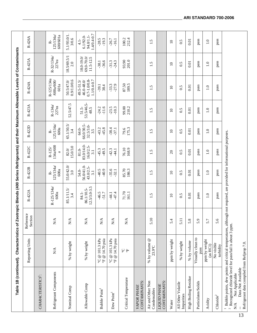| Table 1B (continued).                                                                                                                                                                                                                                                                                 |                                                                     | Characteristics of Zeotropic Blends (400 Series Refrigerants) and their Maximum Allowable Levels of Contaminants |                                         |                                         |                                              |                                           |                                |                                                                    |                                                 |                                                     |
|-------------------------------------------------------------------------------------------------------------------------------------------------------------------------------------------------------------------------------------------------------------------------------------------------------|---------------------------------------------------------------------|------------------------------------------------------------------------------------------------------------------|-----------------------------------------|-----------------------------------------|----------------------------------------------|-------------------------------------------|--------------------------------|--------------------------------------------------------------------|-------------------------------------------------|-----------------------------------------------------|
|                                                                                                                                                                                                                                                                                                       | Reporting Units                                                     | Reference<br>Section                                                                                             | R-422A                                  | R-422B                                  | R-422C                                       | R-422D                                    | R-423A                         | R-424A                                                             | R-425A                                          | R-426A                                              |
| CHARACTERISTICS <sup>1</sup> :                                                                                                                                                                                                                                                                        |                                                                     |                                                                                                                  |                                         |                                         |                                              |                                           |                                |                                                                    |                                                 |                                                     |
| Refrigerant Components                                                                                                                                                                                                                                                                                | $\mathbb{N}\mathbb{A}$                                              | N/A                                                                                                              | $R-125/134a$<br>600a                    | 125/134a/<br>600a<br>ዹ፞                 | 134a/600<br>$R-125/$<br>d                    | 125/134a/<br>600a<br>ዹ                    | $R-134a/$<br>227ea             | R-125/134a<br>/600a/600/<br>601a                                   | $R - 32/134a$<br>227ea                          | 125/134a<br>600/601a<br>ዹ                           |
| Nominal Comp                                                                                                                                                                                                                                                                                          | % by weight                                                         | $\mathop{\mathsf{N}}\nolimits\mathop{\mathsf{A}}$                                                                | 85.1/11.5/<br>3.4                       | 55.0/42.0/<br>3.0                       | 15.0/3.0<br>82.0/                            | 65.1/30.5/<br>3.4                         | 52.5/47.5                      | 0.9/1.0/0.6<br>50.5/47.0/                                          | 18.5/69.5/1<br>2.0                              | 5.1/93.0/1.<br>3/0.6                                |
| Allowable Comp                                                                                                                                                                                                                                                                                        | % by weight                                                         | $\sum_{i=1}^{n}$                                                                                                 | $12.5/3.0 - 3.5$<br>86.1/10.5-<br>84.1- | 56.0/41.0-<br>43.0/2.5-<br>54.0-<br>3.1 | 83.0/14.0-<br>$16.0/2.5-$<br>$81.0 -$<br>3.1 | 66.0/30.5<br>$32.5/3.0 -$<br>64.0-<br>3.5 | 53.5/46.5-<br>$51.5 -$<br>48.5 | $0.7 - 1.0 / 0.8 - 1.1 / 0.4 - 0.7$<br>46.0-48.0/<br>$49.5 - 51.5$ | $69.0 - 70.0$<br>$18.0 - 19.0$<br>$11.5 - 12.5$ | 1.4/0.4-0.7<br>94.0/1.1-<br>$6.1/92.0 -$<br>$4.1 -$ |
| Bubble Point <sup>1</sup>                                                                                                                                                                                                                                                                             | ${}^{\circ}\mathbb{C} \ @$ 101.3 kPa<br>$\,$ F $\otimes$ 14.70 psia | $\sum_{i=1}^{n}$                                                                                                 | $-46.5$<br>$-51.7$                      | $-40.9$<br>$-40.5$                      | $-45.3$<br>$-49.5$                           | $-45.8$<br>$-43.2$                        | $-11.6$<br>$-24.2$             | $-39.1$<br>38.4                                                    | $-36.6$<br>$-38.1$                              | $-28.5$<br>$-19.3$                                  |
| Dew Point <sup>1</sup>                                                                                                                                                                                                                                                                                | °C @ 101.3 $kPa$<br>$\rm{^\textit{o}}\rm{F}$ @ 14.70 psia           | $\sum_{i=1}^{n}$                                                                                                 | $-47.4$<br>$-44.1$                      | $-35.6$<br>$-32.1$                      | $-42.3$<br>$-44.1$                           | $-38.4$<br>$-37.1$                        | $-23.5$<br>$-10.3$             | $-33.3$<br>$-27.9$                                                 | $-31.3$<br>$-24.3$                              | $-26.7$<br>$-16.1$                                  |
| Critical Temperature                                                                                                                                                                                                                                                                                  | S°<br>$\mathbb{F}$                                                  | $\sum_{i=1}^{n}$                                                                                                 | 71.70<br>161.1                          | 85.70<br>186.3                          | 76.10<br>168.9                               | 175.3<br>79.6                             | 99.00<br>210.2                 | 87.50<br>189.5                                                     | 93.90<br>201.0                                  | 212.4<br>100.2                                      |
| CONTAMINANTS:<br>VAPOR PHASE                                                                                                                                                                                                                                                                          |                                                                     |                                                                                                                  |                                         |                                         |                                              |                                           |                                |                                                                    |                                                 |                                                     |
| Air and Other Non<br>Condensables                                                                                                                                                                                                                                                                     | $\%$ by volume $@$<br>23.9°C                                        | 5.10                                                                                                             | 1.5                                     | 1.5                                     | 1.5                                          | 1.5                                       | 1.5                            | 1.5                                                                | 1.5                                             | 1.5                                                 |
| CONTAMINANTS:<br><b>LIQUID PHASE</b>                                                                                                                                                                                                                                                                  |                                                                     |                                                                                                                  |                                         |                                         |                                              |                                           |                                |                                                                    |                                                 |                                                     |
| Water                                                                                                                                                                                                                                                                                                 | ppm by weight                                                       | 5.4                                                                                                              | $\Omega$                                | $\Omega$                                | $\Omega$                                     | $\Xi$                                     | $\overline{10}$                | $\Omega$                                                           | $\Omega$                                        | $\Omega$                                            |
| All Other Volatile<br>Impurities                                                                                                                                                                                                                                                                      | % by weight                                                         | $\overline{51}$                                                                                                  | 0.5                                     | 0.5                                     | 0.5                                          | 0.5                                       | 0.5                            | 0.5                                                                | 0.5                                             | 0.5                                                 |
| High Boiling Residue                                                                                                                                                                                                                                                                                  | % by volume                                                         | 5.8                                                                                                              | 0.01                                    | 0.01                                    | 0.01                                         | 0.01                                      | 0.01                           | 0.01                                                               | 0.01                                            | 0.01                                                |
| Particulates/Solids                                                                                                                                                                                                                                                                                   | Visually clean to<br>pass                                           | 5.9                                                                                                              | pass                                    | pass                                    | pass                                         | pass                                      | pass                           | pass                                                               | pass                                            | pass                                                |
| Acidity                                                                                                                                                                                                                                                                                               | ppm by weight<br>(as HCl)                                           | 5.7                                                                                                              | 1.0                                     | 1.0                                     | $\overline{1.0}$                             | $\overline{1.0}$                          | $\overline{1.0}$               | $\overline{1.0}$                                                   | $\overline{1.0}$                                | 1.0                                                 |
| ${\bf Choice}^2$                                                                                                                                                                                                                                                                                      | No visible<br>turbidity                                             | 5.6                                                                                                              | pass                                    | pass                                    | pass                                         | pass                                      | pass                           | pass                                                               | pass                                            | pass                                                |
| Bubble points, dew points and critical temperatures, although not required, are provided for informational purposes.<br>$^2$ Recognized chloride level for pass/fail is about 3 ppm.<br>Refrigerant data compiled from Refprop 7.0.<br>Data Not Available<br>Not Applicable<br>$\mathbb{N}\mathbb{A}$ |                                                                     |                                                                                                                  |                                         |                                         |                                              |                                           |                                |                                                                    |                                                 |                                                     |

13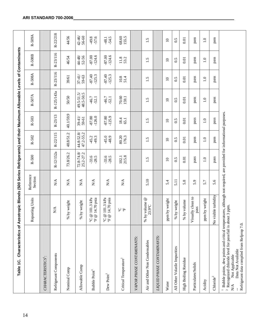| Characteristics of Azeotropic Blends (500 Series Refrigerants) and their Maximum Allowable Levels of Contaminants<br>Table 1C.                                                                                                                                                                          |                                                                              |                              |                                |                                |                      |                            |                      |                      |                     |
|---------------------------------------------------------------------------------------------------------------------------------------------------------------------------------------------------------------------------------------------------------------------------------------------------------|------------------------------------------------------------------------------|------------------------------|--------------------------------|--------------------------------|----------------------|----------------------------|----------------------|----------------------|---------------------|
|                                                                                                                                                                                                                                                                                                         | Reporting Units                                                              | Reference<br>Section         | R-500                          | R-502                          | R-503                | R-507A                     | R-508A               | R-508B               | R-509A              |
| CHARACTERISTICS <sup>1</sup> :                                                                                                                                                                                                                                                                          |                                                                              |                              |                                |                                |                      |                            |                      |                      |                     |
| Refrigerant Components                                                                                                                                                                                                                                                                                  | $\mathbf{N}\mathbf{A}$                                                       | $\mathbb{N}\mathbb{A}$       | R-12/152a                      | R-22/115                       | R-23/13              | R-125/143a                 | R-23/116             | R-23/116             | R-22/218            |
| Nominal Comp                                                                                                                                                                                                                                                                                            | % by weight                                                                  | $\mathbf{N}\mathbf{A}$       | 73.8/26.2                      | 48.8/51.2                      | 40.1/59.9            | 50/50                      | 39/61                | 46/54                | 44/56               |
| Allowable Comp                                                                                                                                                                                                                                                                                          | % by weight                                                                  | $\mathbf{N}\mathbf{A}$       | $72.8 - 74.8$<br>$25.2 - 27.2$ | $44.8 - 52.8$<br>$47.2 - 55.2$ | $39 - 41/$<br>59-61  | $49.5 - 51.5$<br>48.5-50.5 | $37 - 41/$<br>59-63  | $44 - 48$<br>52-56   | $42 - 46/$<br>56-60 |
| Bubble Point <sup>1</sup>                                                                                                                                                                                                                                                                               | @ 101.3 kPa<br>14.70 psia<br>$^{\circledR}$<br>$\mathcal{S}$<br>$\mathbb{F}$ | $\mathbf{N}\mathbf{A}$       | $-33.6$<br>$-28.5$             | $-45.2$<br>$-49.3$             | $-87.80$<br>$-126.0$ | $-46.7$<br>$-52.1$         | $-125.3$<br>$-87.40$ | $-124.6$<br>$-87.00$ | $-49.8$<br>57.6     |
| Dew Point <sup>1</sup>                                                                                                                                                                                                                                                                                  | 101.3 kPa<br>@ 14.70 psia<br>$\circledcirc$<br>ى ہے                          | $\stackrel{\triangle}{\geq}$ | $-33.6$<br>$-28.5$             | $-45.0$<br>$-48.9$             | $-125.9$<br>$-87.80$ | $-46.7$<br>$-52.1$         | $-87.40$<br>$-125.3$ | $-124.6$<br>$-87.00$ | $-54.5$<br>$-48.1$  |
| Critical Temperature <sup>1</sup>                                                                                                                                                                                                                                                                       | ى ہے<br>ي                                                                    | $\mathbb{N}\mathbb{A}$       | 215.8<br>102.1                 | 80.20<br>176.3                 | 18.4<br>65.1         | 70.60<br>159.1             | $10.8$<br>51.4       | 11.8                 | 68.60<br>155.5      |
| VAPOR PHASE CONTAMINANTS:                                                                                                                                                                                                                                                                               |                                                                              |                              |                                |                                |                      |                            |                      |                      |                     |
| Air and Other Non Condensables                                                                                                                                                                                                                                                                          | $^{\circledR}$<br>by volume<br>23.9°C<br>$\%$                                | 5.10                         | r.<br>$\overline{\phantom{0}}$ | 1.5                            | $\ddot{1.5}$         | 1.5                        | 1.5                  | 1.5                  | 1.5                 |
| LIQUID PHASE CONTAMINANTS:                                                                                                                                                                                                                                                                              |                                                                              |                              |                                |                                |                      |                            |                      |                      |                     |
| Water                                                                                                                                                                                                                                                                                                   | ppm by weight                                                                | 5.4                          | $\Xi$                          | $\Xi$                          | $\Omega$             | $\Omega$                   | $\Xi$                | $\overline{10}$      | $\overline{10}$     |
| All Other Volatile Impurities                                                                                                                                                                                                                                                                           | % by weight                                                                  | 5.11                         | 0.5                            | 0.5                            | 0.5                  | 0.5                        | 0.5                  | 0.5                  | 0.5                 |
| High Boiling Residue                                                                                                                                                                                                                                                                                    | % by volume                                                                  | 5.8                          | $0.01$                         | 0.01                           | 0.01                 | 0.01                       | 0.01                 | 0.01                 | 0.01                |
| Particulates/Solids                                                                                                                                                                                                                                                                                     | Visually clean to<br>pass                                                    | 5.9                          | pass                           | pass                           | pass                 | pass                       | pass                 | pass                 | pass                |
| Acidity                                                                                                                                                                                                                                                                                                 | ppm by weight                                                                | 5.7                          | $\overline{1.0}$               | $\overline{1.0}$               | $\overline{1.0}$     | $\overline{1.0}$           | $\overline{1.0}$     | $\Xi$                | $\Xi$               |
| Chloride <sup>2</sup>                                                                                                                                                                                                                                                                                   | No visible turbidity                                                         | 5.6                          | pass                           | pass                           | pass                 | pass                       | pass                 | pass                 | pass                |
| <sup>1</sup> Bubble points, dew points and critical temperatures, although not required, are provided for informational purposes.<br><sup>2</sup> Recognized chloride level for pass/fail is about 3 ppm.<br>Refrigerant data compiled from Refprop 7.0.<br>Data Not Available<br>Not Applicable<br>N/A |                                                                              |                              |                                |                                |                      |                            |                      |                      |                     |